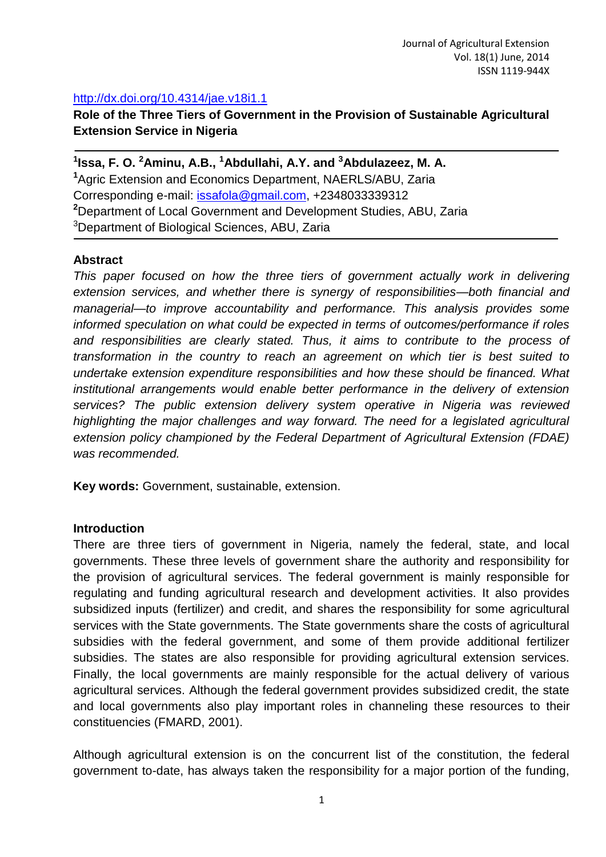## <http://dx.doi.org/10.4314/jae.v18i1.1>

**Role of the Three Tiers of Government in the Provision of Sustainable Agricultural Extension Service in Nigeria**

 **Issa, F. O. <sup>2</sup>Aminu, A.B., <sup>1</sup>Abdullahi, A.Y. and <sup>3</sup>Abdulazeez, M. A.**  Agric Extension and Economics Department, NAERLS/ABU, Zaria Corresponding e-mail: [issafola@gmail.com,](mailto:issafola@gmail.com) +2348033339312 Department of Local Government and Development Studies, ABU, Zaria Department of Biological Sciences, ABU, Zaria

## **Abstract**

*This paper focused on how the three tiers of government actually work in delivering extension services, and whether there is synergy of responsibilities—both financial and managerial—to improve accountability and performance. This analysis provides some informed speculation on what could be expected in terms of outcomes/performance if roles and responsibilities are clearly stated. Thus, it aims to contribute to the process of transformation in the country to reach an agreement on which tier is best suited to undertake extension expenditure responsibilities and how these should be financed. What institutional arrangements would enable better performance in the delivery of extension services? The public extension delivery system operative in Nigeria was reviewed highlighting the major challenges and way forward. The need for a legislated agricultural extension policy championed by the Federal Department of Agricultural Extension (FDAE) was recommended.*

**Key words:** Government, sustainable, extension.

#### **Introduction**

There are three tiers of government in Nigeria, namely the federal, state, and local governments. These three levels of government share the authority and responsibility for the provision of agricultural services. The federal government is mainly responsible for regulating and funding agricultural research and development activities. It also provides subsidized inputs (fertilizer) and credit, and shares the responsibility for some agricultural services with the State governments. The State governments share the costs of agricultural subsidies with the federal government, and some of them provide additional fertilizer subsidies. The states are also responsible for providing agricultural extension services. Finally, the local governments are mainly responsible for the actual delivery of various agricultural services. Although the federal government provides subsidized credit, the state and local governments also play important roles in channeling these resources to their constituencies (FMARD, 2001).

Although agricultural extension is on the concurrent list of the constitution, the federal government to-date, has always taken the responsibility for a major portion of the funding,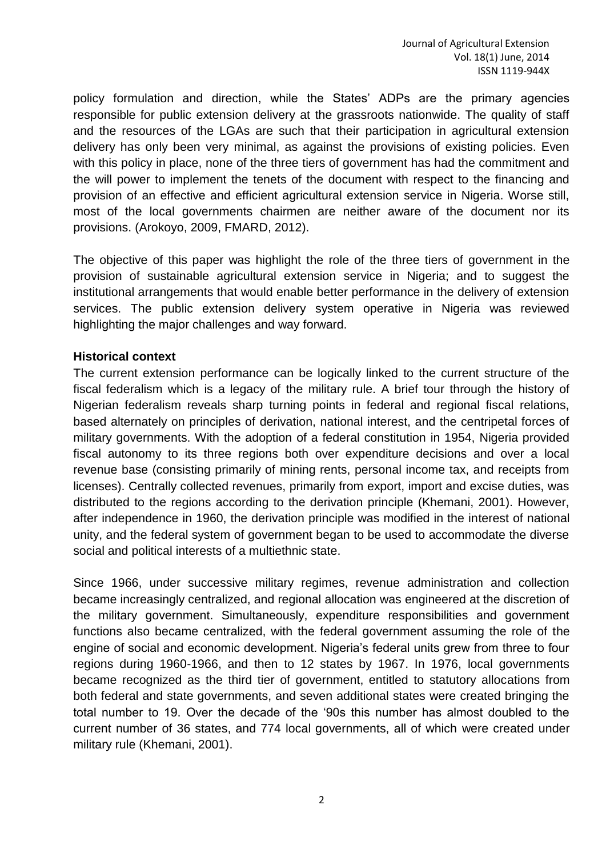policy formulation and direction, while the States' ADPs are the primary agencies responsible for public extension delivery at the grassroots nationwide. The quality of staff and the resources of the LGAs are such that their participation in agricultural extension delivery has only been very minimal, as against the provisions of existing policies. Even with this policy in place, none of the three tiers of government has had the commitment and the will power to implement the tenets of the document with respect to the financing and provision of an effective and efficient agricultural extension service in Nigeria. Worse still, most of the local governments chairmen are neither aware of the document nor its provisions. (Arokoyo, 2009, FMARD, 2012).

The objective of this paper was highlight the role of the three tiers of government in the provision of sustainable agricultural extension service in Nigeria; and to suggest the institutional arrangements that would enable better performance in the delivery of extension services. The public extension delivery system operative in Nigeria was reviewed highlighting the major challenges and way forward.

## **Historical context**

The current extension performance can be logically linked to the current structure of the fiscal federalism which is a legacy of the military rule. A brief tour through the history of Nigerian federalism reveals sharp turning points in federal and regional fiscal relations, based alternately on principles of derivation, national interest, and the centripetal forces of military governments. With the adoption of a federal constitution in 1954, Nigeria provided fiscal autonomy to its three regions both over expenditure decisions and over a local revenue base (consisting primarily of mining rents, personal income tax, and receipts from licenses). Centrally collected revenues, primarily from export, import and excise duties, was distributed to the regions according to the derivation principle (Khemani, 2001). However, after independence in 1960, the derivation principle was modified in the interest of national unity, and the federal system of government began to be used to accommodate the diverse social and political interests of a multiethnic state.

Since 1966, under successive military regimes, revenue administration and collection became increasingly centralized, and regional allocation was engineered at the discretion of the military government. Simultaneously, expenditure responsibilities and government functions also became centralized, with the federal government assuming the role of the engine of social and economic development. Nigeria's federal units grew from three to four regions during 1960-1966, and then to 12 states by 1967. In 1976, local governments became recognized as the third tier of government, entitled to statutory allocations from both federal and state governments, and seven additional states were created bringing the total number to 19. Over the decade of the '90s this number has almost doubled to the current number of 36 states, and 774 local governments, all of which were created under military rule (Khemani, 2001).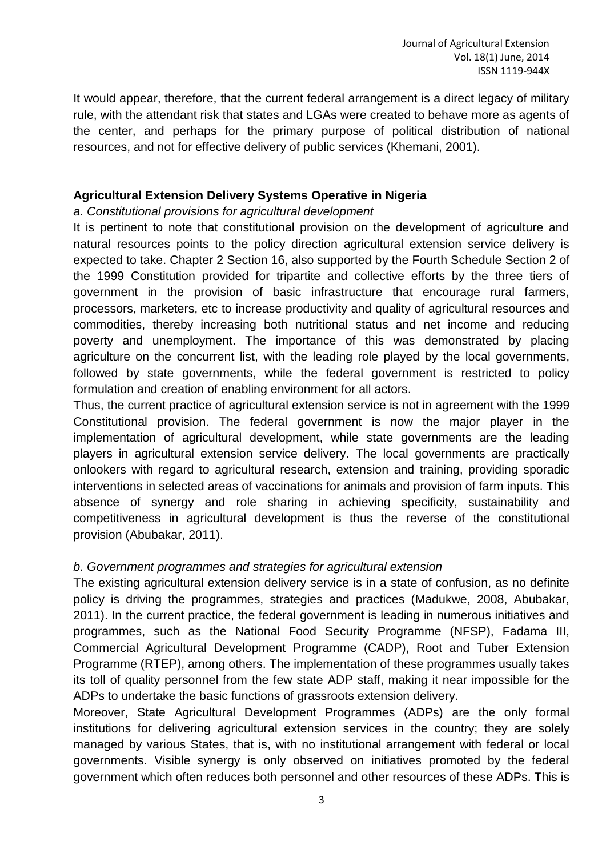It would appear, therefore, that the current federal arrangement is a direct legacy of military rule, with the attendant risk that states and LGAs were created to behave more as agents of the center, and perhaps for the primary purpose of political distribution of national resources, and not for effective delivery of public services (Khemani, 2001).

#### **Agricultural Extension Delivery Systems Operative in Nigeria**

## *a. Constitutional provisions for agricultural development*

It is pertinent to note that constitutional provision on the development of agriculture and natural resources points to the policy direction agricultural extension service delivery is expected to take. Chapter 2 Section 16, also supported by the Fourth Schedule Section 2 of the 1999 Constitution provided for tripartite and collective efforts by the three tiers of government in the provision of basic infrastructure that encourage rural farmers, processors, marketers, etc to increase productivity and quality of agricultural resources and commodities, thereby increasing both nutritional status and net income and reducing poverty and unemployment. The importance of this was demonstrated by placing agriculture on the concurrent list, with the leading role played by the local governments, followed by state governments, while the federal government is restricted to policy formulation and creation of enabling environment for all actors.

Thus, the current practice of agricultural extension service is not in agreement with the 1999 Constitutional provision. The federal government is now the major player in the implementation of agricultural development, while state governments are the leading players in agricultural extension service delivery. The local governments are practically onlookers with regard to agricultural research, extension and training, providing sporadic interventions in selected areas of vaccinations for animals and provision of farm inputs. This absence of synergy and role sharing in achieving specificity, sustainability and competitiveness in agricultural development is thus the reverse of the constitutional provision (Abubakar, 2011).

# *b. Government programmes and strategies for agricultural extension*

The existing agricultural extension delivery service is in a state of confusion, as no definite policy is driving the programmes, strategies and practices (Madukwe, 2008, Abubakar, 2011). In the current practice, the federal government is leading in numerous initiatives and programmes, such as the National Food Security Programme (NFSP), Fadama III, Commercial Agricultural Development Programme (CADP), Root and Tuber Extension Programme (RTEP), among others. The implementation of these programmes usually takes its toll of quality personnel from the few state ADP staff, making it near impossible for the ADPs to undertake the basic functions of grassroots extension delivery.

Moreover, State Agricultural Development Programmes (ADPs) are the only formal institutions for delivering agricultural extension services in the country; they are solely managed by various States, that is, with no institutional arrangement with federal or local governments. Visible synergy is only observed on initiatives promoted by the federal government which often reduces both personnel and other resources of these ADPs. This is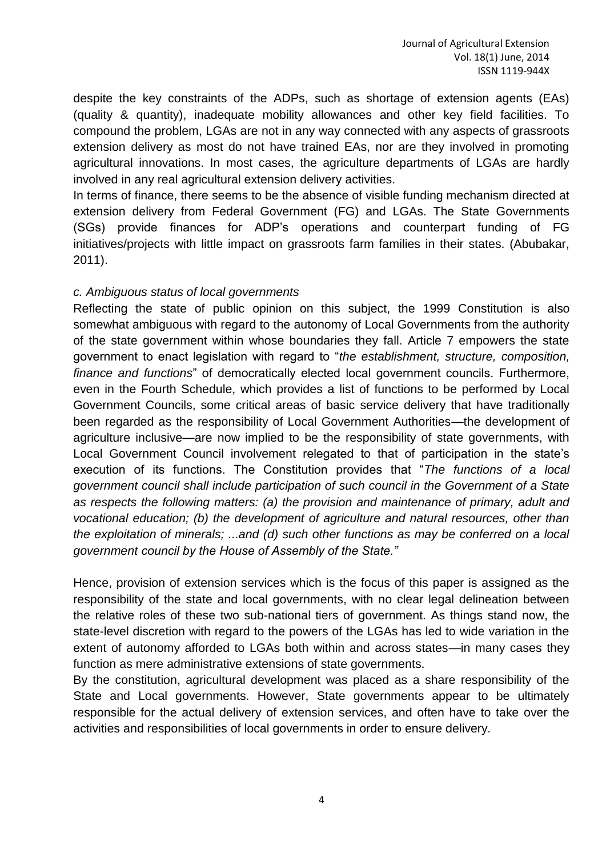despite the key constraints of the ADPs, such as shortage of extension agents (EAs) (quality & quantity), inadequate mobility allowances and other key field facilities. To compound the problem, LGAs are not in any way connected with any aspects of grassroots extension delivery as most do not have trained EAs, nor are they involved in promoting agricultural innovations. In most cases, the agriculture departments of LGAs are hardly involved in any real agricultural extension delivery activities.

In terms of finance, there seems to be the absence of visible funding mechanism directed at extension delivery from Federal Government (FG) and LGAs. The State Governments (SGs) provide finances for ADP's operations and counterpart funding of FG initiatives/projects with little impact on grassroots farm families in their states. (Abubakar, 2011).

#### *c. Ambiguous status of local governments*

Reflecting the state of public opinion on this subject, the 1999 Constitution is also somewhat ambiguous with regard to the autonomy of Local Governments from the authority of the state government within whose boundaries they fall. Article 7 empowers the state government to enact legislation with regard to "*the establishment, structure, composition, finance and functions*" of democratically elected local government councils. Furthermore, even in the Fourth Schedule, which provides a list of functions to be performed by Local Government Councils, some critical areas of basic service delivery that have traditionally been regarded as the responsibility of Local Government Authorities—the development of agriculture inclusive—are now implied to be the responsibility of state governments, with Local Government Council involvement relegated to that of participation in the state's execution of its functions. The Constitution provides that "*The functions of a local government council shall include participation of such council in the Government of a State as respects the following matters: (a) the provision and maintenance of primary, adult and vocational education; (b) the development of agriculture and natural resources, other than the exploitation of minerals; ...and (d) such other functions as may be conferred on a local government council by the House of Assembly of the State."* 

Hence, provision of extension services which is the focus of this paper is assigned as the responsibility of the state and local governments, with no clear legal delineation between the relative roles of these two sub-national tiers of government. As things stand now, the state-level discretion with regard to the powers of the LGAs has led to wide variation in the extent of autonomy afforded to LGAs both within and across states—in many cases they function as mere administrative extensions of state governments.

By the constitution, agricultural development was placed as a share responsibility of the State and Local governments. However, State governments appear to be ultimately responsible for the actual delivery of extension services, and often have to take over the activities and responsibilities of local governments in order to ensure delivery.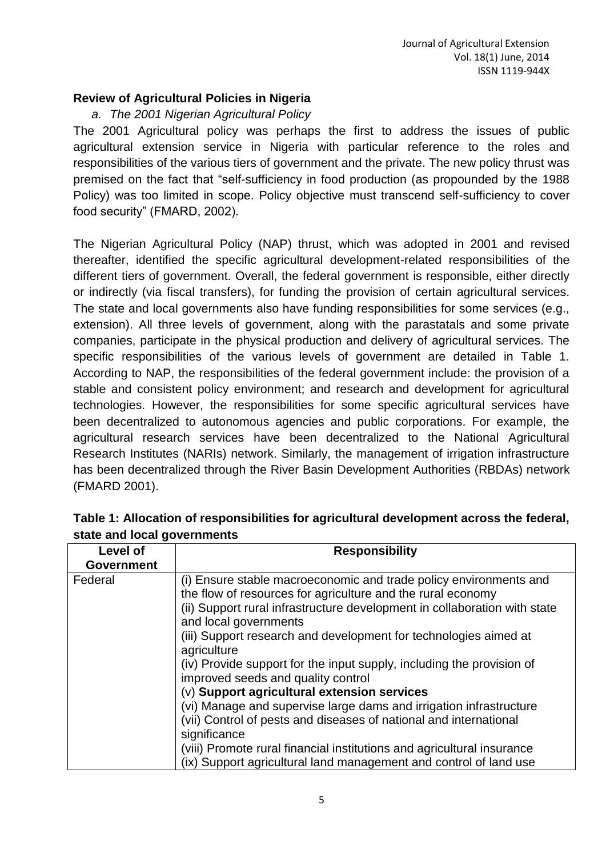# **Review of Agricultural Policies in Nigeria**

# *a. The 2001 Nigerian Agricultural Policy*

The 2001 Agricultural policy was perhaps the first to address the issues of public agricultural extension service in Nigeria with particular reference to the roles and responsibilities of the various tiers of government and the private. The new policy thrust was premised on the fact that "self-sufficiency in food production (as propounded by the 1988 Policy) was too limited in scope. Policy objective must transcend self-sufficiency to cover food security" (FMARD, 2002).

The Nigerian Agricultural Policy (NAP) thrust, which was adopted in 2001 and revised thereafter, identified the specific agricultural development-related responsibilities of the different tiers of government. Overall, the federal government is responsible, either directly or indirectly (via fiscal transfers), for funding the provision of certain agricultural services. The state and local governments also have funding responsibilities for some services (e.g., extension). All three levels of government, along with the parastatals and some private companies, participate in the physical production and delivery of agricultural services. The specific responsibilities of the various levels of government are detailed in Table 1. According to NAP, the responsibilities of the federal government include: the provision of a stable and consistent policy environment; and research and development for agricultural technologies. However, the responsibilities for some specific agricultural services have been decentralized to autonomous agencies and public corporations. For example, the agricultural research services have been decentralized to the National Agricultural Research Institutes (NARIs) network. Similarly, the management of irrigation infrastructure has been decentralized through the River Basin Development Authorities (RBDAs) network (FMARD 2001).

| <b>Responsibility</b>                                                                                                                                                                                                                                                                                                                                                                                                                                                                                                                                                                                                                                                                                                                                                                             |
|---------------------------------------------------------------------------------------------------------------------------------------------------------------------------------------------------------------------------------------------------------------------------------------------------------------------------------------------------------------------------------------------------------------------------------------------------------------------------------------------------------------------------------------------------------------------------------------------------------------------------------------------------------------------------------------------------------------------------------------------------------------------------------------------------|
|                                                                                                                                                                                                                                                                                                                                                                                                                                                                                                                                                                                                                                                                                                                                                                                                   |
| (i) Ensure stable macroeconomic and trade policy environments and<br>the flow of resources for agriculture and the rural economy<br>(ii) Support rural infrastructure development in collaboration with state<br>and local governments<br>(iii) Support research and development for technologies aimed at<br>agriculture<br>(iv) Provide support for the input supply, including the provision of<br>improved seeds and quality control<br>(v) Support agricultural extension services<br>(vi) Manage and supervise large dams and irrigation infrastructure<br>(vii) Control of pests and diseases of national and international<br>significance<br>(viii) Promote rural financial institutions and agricultural insurance<br>(ix) Support agricultural land management and control of land use |
|                                                                                                                                                                                                                                                                                                                                                                                                                                                                                                                                                                                                                                                                                                                                                                                                   |

| Table 1: Allocation of responsibilities for agricultural development across the federal, |
|------------------------------------------------------------------------------------------|
| state and local governments                                                              |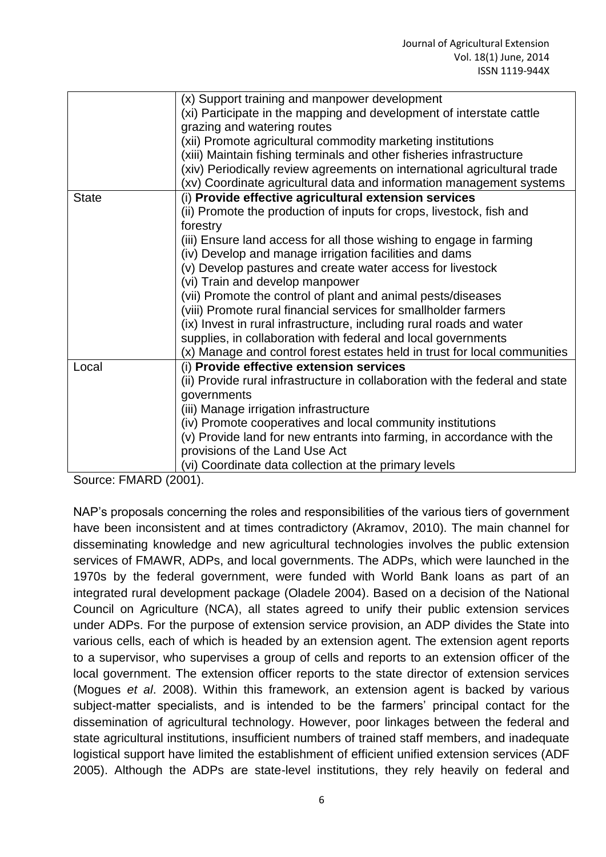|              | (x) Support training and manpower development                                 |
|--------------|-------------------------------------------------------------------------------|
|              | (xi) Participate in the mapping and development of interstate cattle          |
|              | grazing and watering routes                                                   |
|              | (xii) Promote agricultural commodity marketing institutions                   |
|              | (xiii) Maintain fishing terminals and other fisheries infrastructure          |
|              | (xiv) Periodically review agreements on international agricultural trade      |
|              | (xv) Coordinate agricultural data and information management systems          |
| <b>State</b> | (i) Provide effective agricultural extension services                         |
|              | (ii) Promote the production of inputs for crops, livestock, fish and          |
|              | forestry                                                                      |
|              | (iii) Ensure land access for all those wishing to engage in farming           |
|              | (iv) Develop and manage irrigation facilities and dams                        |
|              | (v) Develop pastures and create water access for livestock                    |
|              | (vi) Train and develop manpower                                               |
|              | (vii) Promote the control of plant and animal pests/diseases                  |
|              | (viii) Promote rural financial services for smallholder farmers               |
|              | (ix) Invest in rural infrastructure, including rural roads and water          |
|              | supplies, in collaboration with federal and local governments                 |
|              | (x) Manage and control forest estates held in trust for local communities     |
| Local        | (i) Provide effective extension services                                      |
|              | (ii) Provide rural infrastructure in collaboration with the federal and state |
|              | governments                                                                   |
|              | (iii) Manage irrigation infrastructure                                        |
|              | (iv) Promote cooperatives and local community institutions                    |
|              | (v) Provide land for new entrants into farming, in accordance with the        |
|              | provisions of the Land Use Act                                                |
|              | (vi) Coordinate data collection at the primary levels                         |

Source: FMARD (2001).

NAP's proposals concerning the roles and responsibilities of the various tiers of government have been inconsistent and at times contradictory (Akramov, 2010). The main channel for disseminating knowledge and new agricultural technologies involves the public extension services of FMAWR, ADPs, and local governments. The ADPs, which were launched in the 1970s by the federal government, were funded with World Bank loans as part of an integrated rural development package (Oladele 2004). Based on a decision of the National Council on Agriculture (NCA), all states agreed to unify their public extension services under ADPs. For the purpose of extension service provision, an ADP divides the State into various cells, each of which is headed by an extension agent. The extension agent reports to a supervisor, who supervises a group of cells and reports to an extension officer of the local government. The extension officer reports to the state director of extension services (Mogues *et al*. 2008). Within this framework, an extension agent is backed by various subject-matter specialists, and is intended to be the farmers' principal contact for the dissemination of agricultural technology. However, poor linkages between the federal and state agricultural institutions, insufficient numbers of trained staff members, and inadequate logistical support have limited the establishment of efficient unified extension services (ADF 2005). Although the ADPs are state-level institutions, they rely heavily on federal and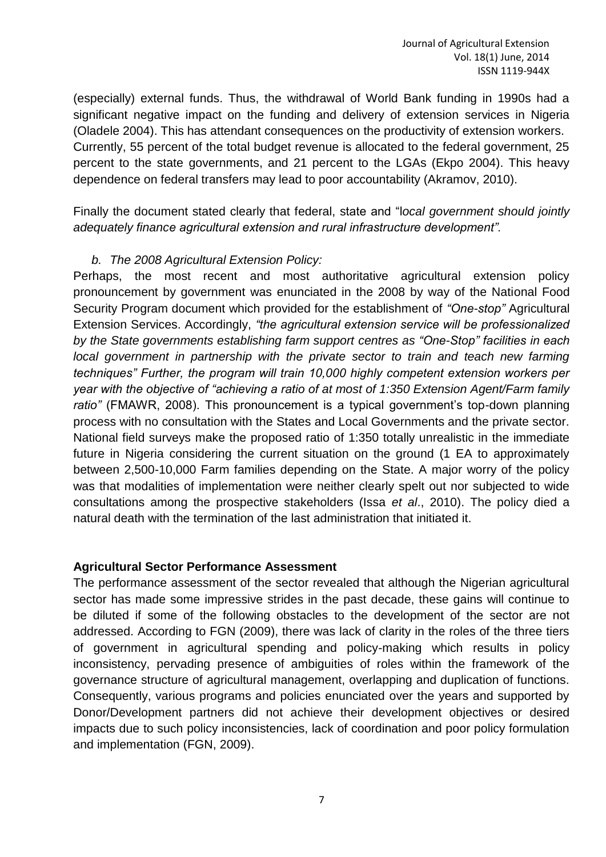(especially) external funds. Thus, the withdrawal of World Bank funding in 1990s had a significant negative impact on the funding and delivery of extension services in Nigeria (Oladele 2004). This has attendant consequences on the productivity of extension workers. Currently, 55 percent of the total budget revenue is allocated to the federal government, 25 percent to the state governments, and 21 percent to the LGAs (Ekpo 2004). This heavy dependence on federal transfers may lead to poor accountability (Akramov, 2010).

Finally the document stated clearly that federal, state and "l*ocal government should jointly adequately finance agricultural extension and rural infrastructure development".*

## *b. The 2008 Agricultural Extension Policy:*

Perhaps, the most recent and most authoritative agricultural extension policy pronouncement by government was enunciated in the 2008 by way of the National Food Security Program document which provided for the establishment of *"One-stop"* Agricultural Extension Services. Accordingly, *"the agricultural extension service will be professionalized by the State governments establishing farm support centres as "One-Stop" facilities in each*  local government in partnership with the private sector to train and teach new farming *techniques" Further, the program will train 10,000 highly competent extension workers per year with the objective of "achieving a ratio of at most of 1:350 Extension Agent/Farm family ratio"* (FMAWR, 2008). This pronouncement is a typical government's top-down planning process with no consultation with the States and Local Governments and the private sector. National field surveys make the proposed ratio of 1:350 totally unrealistic in the immediate future in Nigeria considering the current situation on the ground (1 EA to approximately between 2,500-10,000 Farm families depending on the State. A major worry of the policy was that modalities of implementation were neither clearly spelt out nor subjected to wide consultations among the prospective stakeholders (Issa *et al*., 2010). The policy died a natural death with the termination of the last administration that initiated it.

# **Agricultural Sector Performance Assessment**

The performance assessment of the sector revealed that although the Nigerian agricultural sector has made some impressive strides in the past decade, these gains will continue to be diluted if some of the following obstacles to the development of the sector are not addressed. According to FGN (2009), there was lack of clarity in the roles of the three tiers of government in agricultural spending and policy-making which results in policy inconsistency, pervading presence of ambiguities of roles within the framework of the governance structure of agricultural management, overlapping and duplication of functions. Consequently, various programs and policies enunciated over the years and supported by Donor/Development partners did not achieve their development objectives or desired impacts due to such policy inconsistencies, lack of coordination and poor policy formulation and implementation (FGN, 2009).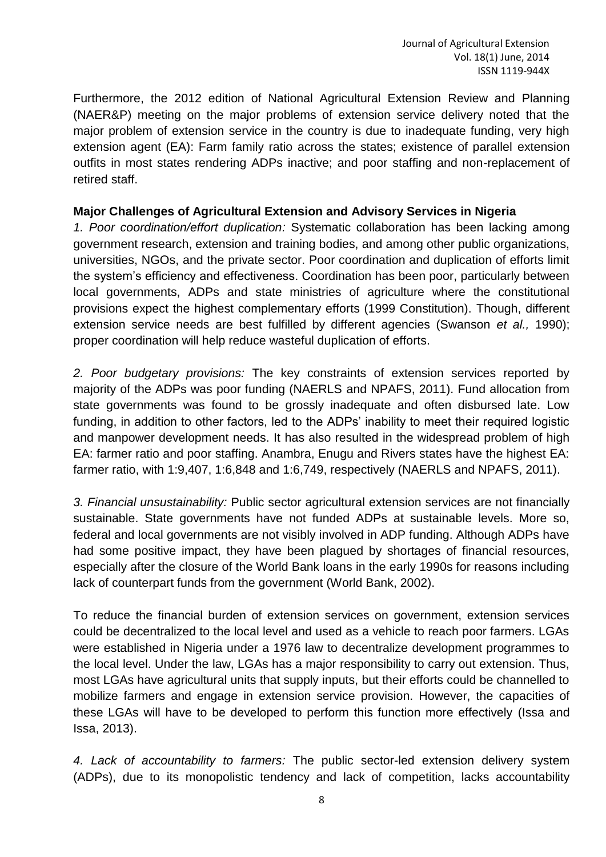Journal of Agricultural Extension Vol. 18(1) June, 2014 ISSN 1119-944X

Furthermore, the 2012 edition of National Agricultural Extension Review and Planning (NAER&P) meeting on the major problems of extension service delivery noted that the major problem of extension service in the country is due to inadequate funding, very high extension agent (EA): Farm family ratio across the states; existence of parallel extension outfits in most states rendering ADPs inactive; and poor staffing and non-replacement of retired staff.

#### **Major Challenges of Agricultural Extension and Advisory Services in Nigeria**

*1. Poor coordination/effort duplication:* Systematic collaboration has been lacking among government research, extension and training bodies, and among other public organizations, universities, NGOs, and the private sector. Poor coordination and duplication of efforts limit the system's efficiency and effectiveness. Coordination has been poor, particularly between local governments, ADPs and state ministries of agriculture where the constitutional provisions expect the highest complementary efforts (1999 Constitution). Though, different extension service needs are best fulfilled by different agencies (Swanson *et al.,* 1990); proper coordination will help reduce wasteful duplication of efforts.

*2. Poor budgetary provisions:* The key constraints of extension services reported by majority of the ADPs was poor funding (NAERLS and NPAFS, 2011). Fund allocation from state governments was found to be grossly inadequate and often disbursed late. Low funding, in addition to other factors, led to the ADPs' inability to meet their required logistic and manpower development needs. It has also resulted in the widespread problem of high EA: farmer ratio and poor staffing. Anambra, Enugu and Rivers states have the highest EA: farmer ratio, with 1:9,407, 1:6,848 and 1:6,749, respectively (NAERLS and NPAFS, 2011).

*3. Financial unsustainability:* Public sector agricultural extension services are not financially sustainable. State governments have not funded ADPs at sustainable levels. More so, federal and local governments are not visibly involved in ADP funding. Although ADPs have had some positive impact, they have been plagued by shortages of financial resources, especially after the closure of the World Bank loans in the early 1990s for reasons including lack of counterpart funds from the government (World Bank, 2002).

To reduce the financial burden of extension services on government, extension services could be decentralized to the local level and used as a vehicle to reach poor farmers. LGAs were established in Nigeria under a 1976 law to decentralize development programmes to the local level. Under the law, LGAs has a major responsibility to carry out extension. Thus, most LGAs have agricultural units that supply inputs, but their efforts could be channelled to mobilize farmers and engage in extension service provision. However, the capacities of these LGAs will have to be developed to perform this function more effectively (Issa and Issa, 2013).

*4. Lack of accountability to farmers:* The public sector-led extension delivery system (ADPs), due to its monopolistic tendency and lack of competition, lacks accountability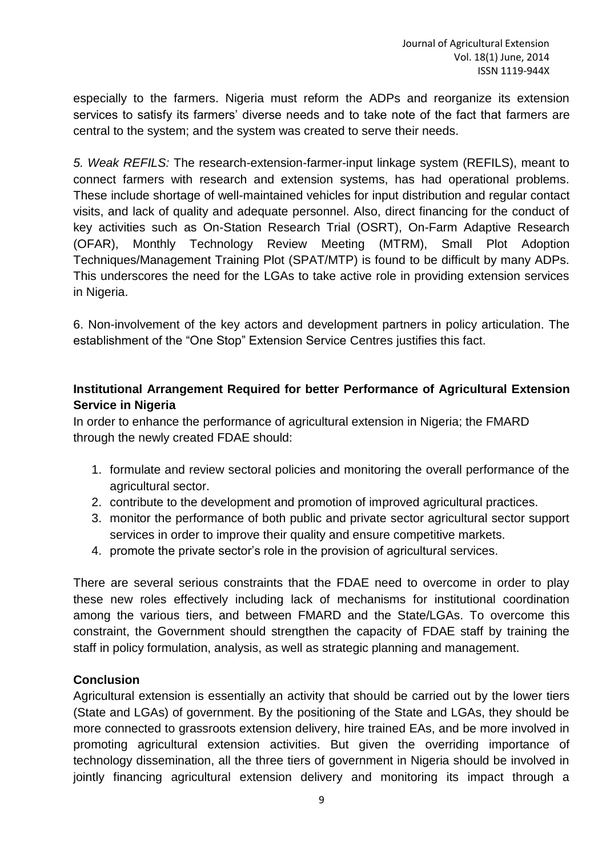especially to the farmers. Nigeria must reform the ADPs and reorganize its extension services to satisfy its farmers' diverse needs and to take note of the fact that farmers are central to the system; and the system was created to serve their needs.

*5. Weak REFILS:* The research-extension-farmer-input linkage system (REFILS), meant to connect farmers with research and extension systems, has had operational problems. These include shortage of well-maintained vehicles for input distribution and regular contact visits, and lack of quality and adequate personnel. Also, direct financing for the conduct of key activities such as On-Station Research Trial (OSRT), On-Farm Adaptive Research (OFAR), Monthly Technology Review Meeting (MTRM), Small Plot Adoption Techniques/Management Training Plot (SPAT/MTP) is found to be difficult by many ADPs. This underscores the need for the LGAs to take active role in providing extension services in Nigeria.

6. Non-involvement of the key actors and development partners in policy articulation. The establishment of the "One Stop" Extension Service Centres justifies this fact.

# **Institutional Arrangement Required for better Performance of Agricultural Extension Service in Nigeria**

In order to enhance the performance of agricultural extension in Nigeria; the FMARD through the newly created FDAE should:

- 1. formulate and review sectoral policies and monitoring the overall performance of the agricultural sector.
- 2. contribute to the development and promotion of improved agricultural practices.
- 3. monitor the performance of both public and private sector agricultural sector support services in order to improve their quality and ensure competitive markets.
- 4. promote the private sector's role in the provision of agricultural services.

There are several serious constraints that the FDAE need to overcome in order to play these new roles effectively including lack of mechanisms for institutional coordination among the various tiers, and between FMARD and the State/LGAs. To overcome this constraint, the Government should strengthen the capacity of FDAE staff by training the staff in policy formulation, analysis, as well as strategic planning and management.

# **Conclusion**

Agricultural extension is essentially an activity that should be carried out by the lower tiers (State and LGAs) of government. By the positioning of the State and LGAs, they should be more connected to grassroots extension delivery, hire trained EAs, and be more involved in promoting agricultural extension activities. But given the overriding importance of technology dissemination, all the three tiers of government in Nigeria should be involved in jointly financing agricultural extension delivery and monitoring its impact through a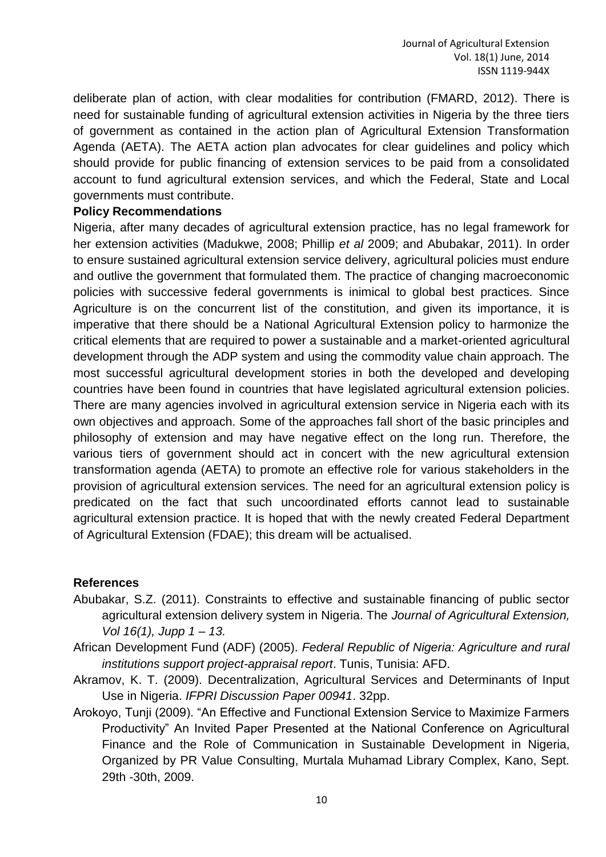deliberate plan of action, with clear modalities for contribution (FMARD, 2012). There is need for sustainable funding of agricultural extension activities in Nigeria by the three tiers of government as contained in the action plan of Agricultural Extension Transformation Agenda (AETA). The AETA action plan advocates for clear guidelines and policy which should provide for public financing of extension services to be paid from a consolidated account to fund agricultural extension services, and which the Federal, State and Local governments must contribute.

#### **Policy Recommendations**

Nigeria, after many decades of agricultural extension practice, has no legal framework for her extension activities (Madukwe, 2008; Phillip *et al* 2009; and Abubakar, 2011). In order to ensure sustained agricultural extension service delivery, agricultural policies must endure and outlive the government that formulated them. The practice of changing macroeconomic policies with successive federal governments is inimical to global best practices. Since Agriculture is on the concurrent list of the constitution, and given its importance, it is imperative that there should be a National Agricultural Extension policy to harmonize the critical elements that are required to power a sustainable and a market-oriented agricultural development through the ADP system and using the commodity value chain approach. The most successful agricultural development stories in both the developed and developing countries have been found in countries that have legislated agricultural extension policies. There are many agencies involved in agricultural extension service in Nigeria each with its own objectives and approach. Some of the approaches fall short of the basic principles and philosophy of extension and may have negative effect on the long run. Therefore, the various tiers of government should act in concert with the new agricultural extension transformation agenda (AETA) to promote an effective role for various stakeholders in the provision of agricultural extension services. The need for an agricultural extension policy is predicated on the fact that such uncoordinated efforts cannot lead to sustainable agricultural extension practice. It is hoped that with the newly created Federal Department of Agricultural Extension (FDAE); this dream will be actualised.

#### **References**

- Abubakar, S.Z. (2011). Constraints to effective and sustainable financing of public sector agricultural extension delivery system in Nigeria. The *Journal of Agricultural Extension, Vol 16(1), Jupp 1 – 13.*
- African Development Fund (ADF) (2005). *Federal Republic of Nigeria: Agriculture and rural institutions support project-appraisal report*. Tunis, Tunisia: AFD.
- Akramov, K. T. (2009). Decentralization, Agricultural Services and Determinants of Input Use in Nigeria. *IFPRI Discussion Paper 00941*. 32pp.
- Arokoyo, Tunji (2009). "An Effective and Functional Extension Service to Maximize Farmers Productivity" An Invited Paper Presented at the National Conference on Agricultural Finance and the Role of Communication in Sustainable Development in Nigeria, Organized by PR Value Consulting, Murtala Muhamad Library Complex, Kano, Sept. 29th -30th, 2009.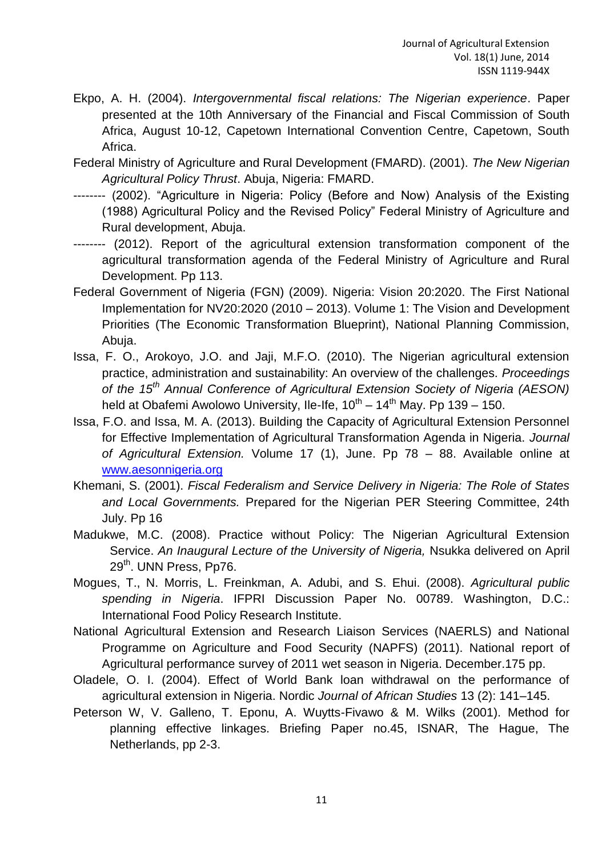- Ekpo, A. H. (2004). *Intergovernmental fiscal relations: The Nigerian experience*. Paper presented at the 10th Anniversary of the Financial and Fiscal Commission of South Africa, August 10-12, Capetown International Convention Centre, Capetown, South Africa.
- Federal Ministry of Agriculture and Rural Development (FMARD). (2001). *The New Nigerian Agricultural Policy Thrust*. Abuja, Nigeria: FMARD.
- -------- (2002). "Agriculture in Nigeria: Policy (Before and Now) Analysis of the Existing (1988) Agricultural Policy and the Revised Policy" Federal Ministry of Agriculture and Rural development, Abuja.
- -------- (2012). Report of the agricultural extension transformation component of the agricultural transformation agenda of the Federal Ministry of Agriculture and Rural Development. Pp 113.
- Federal Government of Nigeria (FGN) (2009). Nigeria: Vision 20:2020. The First National Implementation for NV20:2020 (2010 – 2013). Volume 1: The Vision and Development Priorities (The Economic Transformation Blueprint), National Planning Commission, Abuja.
- Issa, F. O., Arokoyo, J.O. and Jaji, M.F.O. (2010). The Nigerian agricultural extension practice, administration and sustainability: An overview of the challenges. *Proceedings of the 15th Annual Conference of Agricultural Extension Society of Nigeria (AESON)*  held at Obafemi Awolowo University, Ile-Ife, 10<sup>th</sup> – 14<sup>th</sup> May. Pp 139 – 150.
- Issa, F.O. and Issa, M. A. (2013). Building the Capacity of Agricultural Extension Personnel for Effective Implementation of Agricultural Transformation Agenda in Nigeria. *Journal of Agricultural Extension.* Volume 17 (1), June. Pp 78 – 88. Available online at [www.aesonnigeria.org](http://www.aesonnigeria.org/)
- Khemani, S. (2001). *Fiscal Federalism and Service Delivery in Nigeria: The Role of States and Local Governments.* Prepared for the Nigerian PER Steering Committee, 24th July. Pp 16
- Madukwe, M.C. (2008). Practice without Policy: The Nigerian Agricultural Extension Service. *An Inaugural Lecture of the University of Nigeria,* Nsukka delivered on April 29<sup>th</sup>. UNN Press, Pp76.
- Mogues, T., N. Morris, L. Freinkman, A. Adubi, and S. Ehui. (2008). *Agricultural public spending in Nigeria*. IFPRI Discussion Paper No. 00789. Washington, D.C.: International Food Policy Research Institute.
- National Agricultural Extension and Research Liaison Services (NAERLS) and National Programme on Agriculture and Food Security (NAPFS) (2011). National report of Agricultural performance survey of 2011 wet season in Nigeria. December.175 pp.
- Oladele, O. I. (2004). Effect of World Bank loan withdrawal on the performance of agricultural extension in Nigeria. Nordic *Journal of African Studies* 13 (2): 141–145.
- Peterson W, V. Galleno, T. Eponu, A. Wuytts-Fivawo & M. Wilks (2001). Method for planning effective linkages. Briefing Paper no.45, ISNAR, The Hague, The Netherlands, pp 2-3.